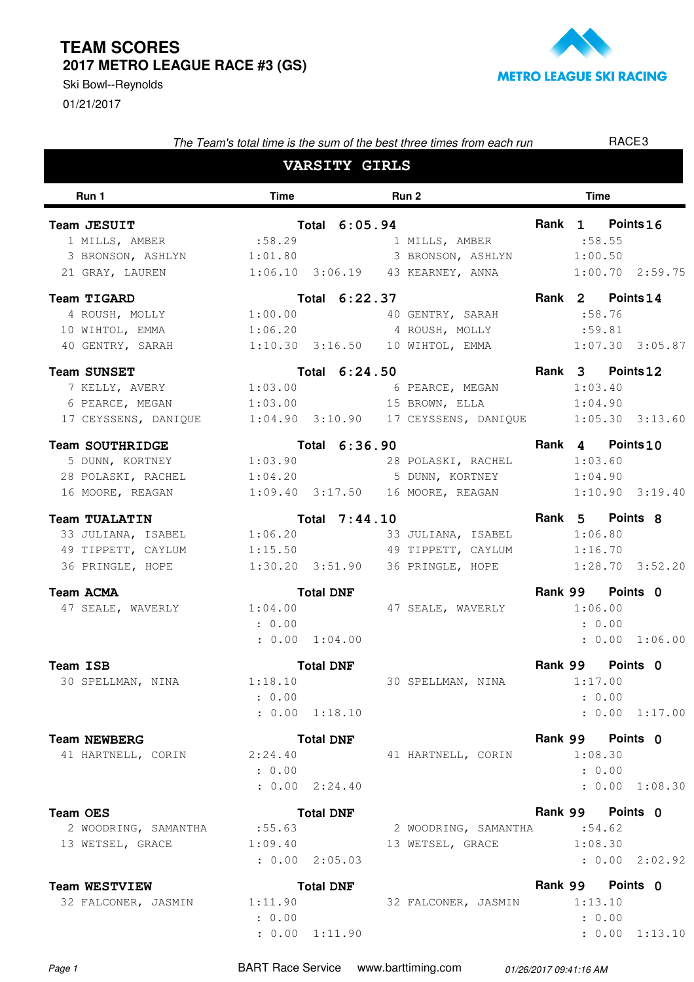01/21/2017 Ski Bowl--Reynolds



| The Team's total time is the sum of the best three times from each run    |             |                      |  |                            |  | RACE3             |                  |                |  |
|---------------------------------------------------------------------------|-------------|----------------------|--|----------------------------|--|-------------------|------------------|----------------|--|
|                                                                           |             | <b>VARSITY GIRLS</b> |  |                            |  |                   |                  |                |  |
| Run 1                                                                     | <b>Time</b> |                      |  | Run 2                      |  | <b>Time</b>       |                  |                |  |
| Team JESUIT                                                               |             |                      |  | Total 6:05.94              |  |                   | Rank 1 Points 16 |                |  |
| 1 MILLS, AMBER :58.29                                                     |             |                      |  | 1 MILLS, AMBER :58.55      |  |                   |                  |                |  |
| 3 BRONSON, ASHLYN 1:01.80 3 BRONSON, ASHLYN 1:00.50                       |             |                      |  |                            |  |                   |                  |                |  |
| 21 GRAY, LAUREN 1:06.10 3:06.19 43 KEARNEY, ANNA 1:00.70 2:59.75          |             |                      |  |                            |  |                   |                  |                |  |
| Team TIGARD                                                               |             | Total 6:22.37        |  |                            |  | Rank 2 Points 14  |                  |                |  |
| 4 ROUSH, MOLLY 1:00.00                                                    |             |                      |  | 40 GENTRY, SARAH           |  | :58.76            |                  |                |  |
| 10 WIHTOL, EMMA 1:06.20 4 ROUSH, MOLLY                                    |             |                      |  |                            |  | :59.81            |                  |                |  |
| 40 GENTRY, SARAH 1:10.30 3:16.50 10 WIHTOL, EMMA 1:07.30 3:05.87          |             |                      |  |                            |  |                   |                  |                |  |
| <b>Team SUNSET</b>                                                        |             | Total 6:24.50        |  |                            |  | Rank 3 Points 12  |                  |                |  |
| 7 KELLY, AVERY 1:03.00                                                    |             |                      |  | 6 PEARCE, MEGAN            |  | 1:03.40           |                  |                |  |
| 6 PEARCE, MEGAN 1:03.00 15 BROWN, ELLA 1:04.90                            |             |                      |  |                            |  |                   |                  |                |  |
| 17 CEYSSENS, DANIQUE 1:04.90 3:10.90 17 CEYSSENS, DANIQUE 1:05.30 3:13.60 |             |                      |  |                            |  |                   |                  |                |  |
| <b>Team SOUTHRIDGE</b>                                                    |             | Total 6:36.90        |  |                            |  | Rank 4 Points 10  |                  |                |  |
| 5 DUNN, KORTNEY                                                           | 1:03.90     |                      |  | 28 POLASKI, RACHEL 1:03.60 |  |                   |                  |                |  |
| 28 POLASKI, RACHEL 1:04.20 5 DUNN, KORTNEY 1:04.90                        |             |                      |  |                            |  |                   |                  |                |  |
| 16 MOORE, REAGAN 1:09.40 3:17.50 16 MOORE, REAGAN 1:10.90 3:19.40         |             |                      |  |                            |  |                   |                  |                |  |
| <b>Team TUALATIN</b>                                                      |             |                      |  | Total 7:44.10              |  | Rank 5 Points 8   |                  |                |  |
| 33 JULIANA, ISABEL 1:06.20 33 JULIANA, ISABEL 1:06.80                     |             |                      |  |                            |  |                   |                  |                |  |
| 49 TIPPETT, CAYLUM 1:15.50 49 TIPPETT, CAYLUM 1:16.70                     |             |                      |  |                            |  |                   |                  |                |  |
| 36 PRINGLE, HOPE 1:30.20 3:51.90 36 PRINGLE, HOPE 1:28.70 3:52.20         |             |                      |  |                            |  |                   |                  |                |  |
| <b>Team ACMA</b>                                                          |             | <b>Total DNF</b>     |  |                            |  | Rank 99 Points 0  |                  |                |  |
| 47 SEALE, WAVERLY 1:04.00                                                 |             |                      |  | 47 SEALE, WAVERLY 1:06.00  |  |                   |                  |                |  |
|                                                                           | : 0.00      |                      |  |                            |  | : 0.00            |                  |                |  |
|                                                                           |             | : 0.00 1:04.00       |  |                            |  |                   |                  | : 0.00 1:06.00 |  |
| Team ISB                                                                  |             | <b>Total DNF</b>     |  |                            |  | Rank 99 Points 0  |                  |                |  |
| 30 SPELLMAN, NINA                                                         | 1:18.10     |                      |  | 30 SPELLMAN, NINA          |  | 1:17.00           |                  |                |  |
|                                                                           | : 0.00      |                      |  |                            |  | : 0.00            |                  |                |  |
|                                                                           |             | : 0.00 1:18.10       |  |                            |  |                   |                  | : 0.00 1:17.00 |  |
| <b>Team NEWBERG</b>                                                       |             | <b>Total DNF</b>     |  |                            |  | Rank 99 Points 0  |                  |                |  |
| 41 HARTNELL, CORIN                                                        | 2:24.40     |                      |  | 41 HARTNELL, CORIN         |  | 1:08.30           |                  |                |  |
|                                                                           | : 0.00      |                      |  |                            |  | : 0.00            |                  |                |  |
|                                                                           |             | : 0.00 2:24.40       |  |                            |  |                   |                  | : 0.00 1:08.30 |  |
| <b>Team OES</b>                                                           |             | <b>Total DNF</b>     |  |                            |  | Rank 99 Points 0  |                  |                |  |
| 2 WOODRING, SAMANTHA                                                      | :55.63      |                      |  | 2 WOODRING, SAMANTHA       |  | :54.62            |                  |                |  |
| 13 WETSEL, GRACE                                                          | 1:09.40     |                      |  | 13 WETSEL, GRACE           |  | 1:08.30           |                  |                |  |
|                                                                           |             | : 0.00 2:05.03       |  |                            |  |                   |                  | : 0.00 2:02.92 |  |
| <b>Team WESTVIEW</b>                                                      |             | <b>Total DNF</b>     |  |                            |  | Rank 99 Points 0  |                  |                |  |
| 32 FALCONER, JASMIN                                                       | 1:11.90     |                      |  | 32 FALCONER, JASMIN        |  | 1:13.10           |                  |                |  |
|                                                                           | : 0.00      |                      |  |                            |  | $\therefore$ 0.00 |                  |                |  |

Page 1 BART Race Service www.barttiming.com 01/26/2017 09:41:16 AM

: 0.00

: 0.00 1:11.90 1:13.10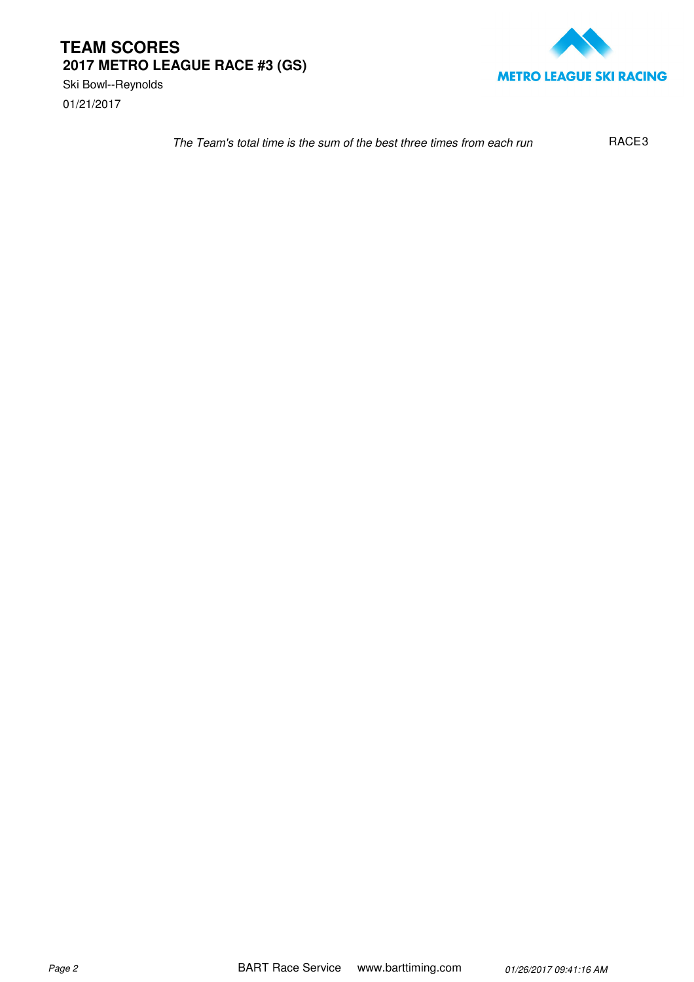01/21/2017 Ski Bowl--Reynolds



The Team's total time is the sum of the best three times from each run RACE<sub>3</sub>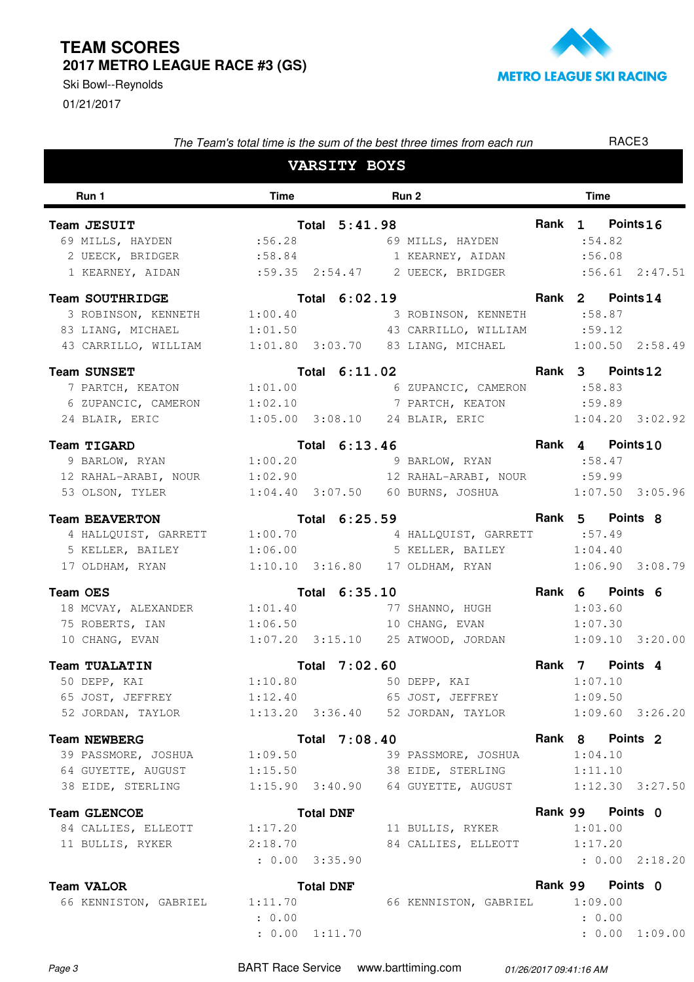01/21/2017 Ski Bowl--Reynolds



| The Team's total time is the sum of the best three times from each run                                                                                                    |                           |                  |  |                                                                                                                                     |             | RACE3                                 |                |  |
|---------------------------------------------------------------------------------------------------------------------------------------------------------------------------|---------------------------|------------------|--|-------------------------------------------------------------------------------------------------------------------------------------|-------------|---------------------------------------|----------------|--|
| <b>VARSITY BOYS</b>                                                                                                                                                       |                           |                  |  |                                                                                                                                     |             |                                       |                |  |
| Run 1                                                                                                                                                                     | Time                      |                  |  | Run 2                                                                                                                               | <b>Time</b> |                                       |                |  |
| Team JESUIT<br>69 MILLS, HAYDEN :56.28<br>2 UEECK, BRIDGER :58.84 1 KEARNEY, AIDAN<br>1 KEARNEY, AIDAN :59.35 2:54.47 2 UEECK, BRIDGER :56.61 2:47.51                     |                           | Total 5:41.98    |  | 69 MILLS, HAYDEN                                                                                                                    |             | Rank 1 Points 16<br>:54.82<br>:56.08  |                |  |
| Team SOUTHRIDGE<br>3 ROBINSON, KENNETH<br>83 LIANG, MICHAEL 1:01.50 43 CARRILLO, WILLIAM :59.12<br>43 CARRILLO, WILLIAM 1:01.80 3:03.70 83 LIANG, MICHAEL 1:00.50 2:58.49 | 1:00.40                   |                  |  | Total 6:02.19<br>3 ROBINSON, KENNETH :58.87                                                                                         |             | Rank 2 Points 14                      |                |  |
| <b>Team SUNSET</b><br>7 PARTCH, KEATON 1:01.00 6 ZUPANCIC, CAMERON :58.83<br>6 ZUPANCIC, CAMERON<br>24 BLAIR, ERIC                                                        |                           | Total 6:11.02    |  | 1:02.10 7 PARTCH, KEATON :59.89<br>1:05.00 3:08.10 24 BLAIR, ERIC 1:04.20 3:02.92                                                   |             | Rank 3 Points 12                      |                |  |
| <b>Team TIGARD</b><br>9 BARLOW, RYAN 1:00.20<br>12 RAHAL-ARABI, NOUR 1:02.90 12 RAHAL-ARABI, NOUR :59.99<br>53 OLSON, TYLER                                               |                           | Total 6:13.46    |  | Rank 4 Points 10<br>9 BARLOW, RYAN :58.47<br>1:04.40 3:07.50 60 BURNS, JOSHUA 1:07.50 3:05.96                                       |             |                                       |                |  |
| <b>Team BEAVERTON</b><br>4 HALLQUIST, GARRETT<br>5 KELLER, BAILEY<br>17 OLDHAM, RYAN                                                                                      | 1:00.70                   |                  |  | Total 6:25.59<br>4 HALLQUIST, GARRETT :57.49<br>1:06.00 5 KELLER, BAILEY 1:04.40<br>1:10.10 3:16.80 17 OLDHAM, RYAN 1:06.90 3:08.79 |             | Rank 5 Points 8                       |                |  |
| <b>Team OES</b><br>18 MCVAY, ALEXANDER 1:01.40<br>75 ROBERTS, IAN 1:06.50<br>10 CHANG, EVAN                                                                               |                           | Total 6:35.10    |  | 77 SHANNO, HUGH<br>10 CHANG, EVAN<br>1:07.20 3:15.10 25 ATWOOD, JORDAN 1:09.10 3:20.00                                              |             | Rank 6 Points 6<br>1:03.60<br>1:07.30 |                |  |
| <b>Team TUALATIN</b><br>50 DEPP, KAI 1:10.80<br>65 JOST, JEFFREY<br>52 JORDAN, TAYLOR                                                                                     |                           | Total 7:02.60    |  | 50 DEPP, KAI<br>1:12.40 65 JOST, JEFFREY 1:09.50<br>1:13.20 3:36.40 52 JORDAN, TAYLOR 1:09.60 3:26.20                               |             | Rank 7 Points 4<br>1:07.10            |                |  |
| <b>Team NEWBERG</b><br>39 PASSMORE, JOSHUA<br>64 GUYETTE, AUGUST 1:15.50<br>38 EIDE, STERLING                                                                             |                           | Total 7:08.40    |  | 1:09.50 39 PASSMORE, JOSHUA 1:04.10<br>38 EIDE, STERLING<br>1:15.90 3:40.90 64 GUYETTE, AUGUST 1:12.30 3:27.50                      |             | Rank 8 Points 2<br>1:11.10            |                |  |
| <b>Team GLENCOE</b><br>84 CALLIES, ELLEOTT 1:17.20<br>11 BULLIS, RYKER                                                                                                    | 2:18.70<br>: 0.00 3:35.90 | <b>Total DNF</b> |  | 11 BULLIS, RYKER 1:01.00<br>84 CALLIES, ELLEOTT 1:17.20                                                                             |             | Rank 99 Points 0                      | : 0.00 2:18.20 |  |
| <b>Team VALOR</b><br>66 KENNISTON, GABRIEL 1:11.70                                                                                                                        | : 0.00                    | <b>Total DNF</b> |  | 66 KENNISTON, GABRIEL 1:09.00                                                                                                       |             | Rank 99 Points 0<br>: 0.00            |                |  |

 $: 0.00 1:11.70$ 

1:11.70 : 0.00 1:09.00